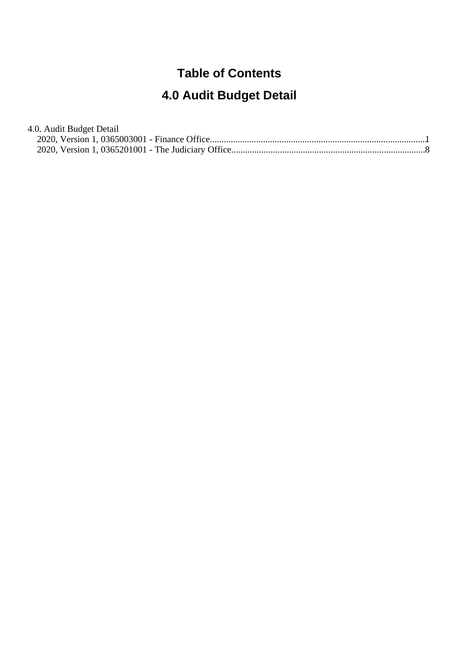#### **Table of Contents**

# **4.0 Audit Budget Detail**

| 4.0. Audit Budget Detail |  |
|--------------------------|--|
|                          |  |
|                          |  |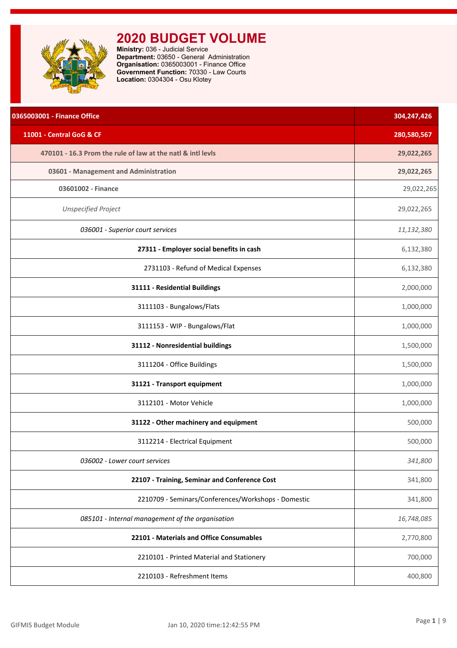<span id="page-1-0"></span>

| 0365003001 - Finance Office                                 | 304,247,426 |
|-------------------------------------------------------------|-------------|
| 11001 - Central GoG & CF                                    | 280,580,567 |
| 470101 - 16.3 Prom the rule of law at the natl & intl levls | 29,022,265  |
| 03601 - Management and Administration                       | 29,022,265  |
| 03601002 - Finance                                          | 29,022,265  |
| <b>Unspecified Project</b>                                  | 29,022,265  |
| 036001 - Superior court services                            | 11,132,380  |
| 27311 - Employer social benefits in cash                    | 6,132,380   |
| 2731103 - Refund of Medical Expenses                        | 6,132,380   |
| 31111 - Residential Buildings                               | 2,000,000   |
| 3111103 - Bungalows/Flats                                   | 1,000,000   |
| 3111153 - WIP - Bungalows/Flat                              | 1,000,000   |
| 31112 - Nonresidential buildings                            | 1,500,000   |
| 3111204 - Office Buildings                                  | 1,500,000   |
| 31121 - Transport equipment                                 | 1,000,000   |
| 3112101 - Motor Vehicle                                     | 1,000,000   |
| 31122 - Other machinery and equipment                       | 500,000     |
| 3112214 - Electrical Equipment                              | 500,000     |
| 036002 - Lower court services                               | 341,800     |
| 22107 - Training, Seminar and Conference Cost               | 341,800     |
| 2210709 - Seminars/Conferences/Workshops - Domestic         | 341,800     |
| 085101 - Internal management of the organisation            | 16,748,085  |
| 22101 - Materials and Office Consumables                    | 2,770,800   |
| 2210101 - Printed Material and Stationery                   | 700,000     |
| 2210103 - Refreshment Items                                 | 400,800     |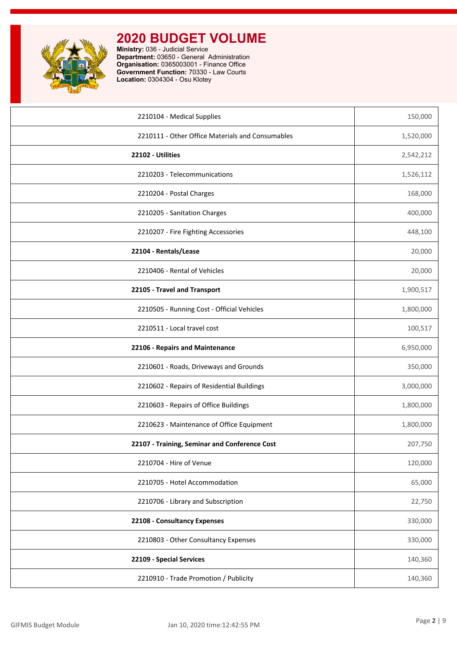

| 2210104 - Medical Supplies                       | 150,000   |
|--------------------------------------------------|-----------|
| 2210111 - Other Office Materials and Consumables | 1,520,000 |
| 22102 - Utilities                                | 2,542,212 |
| 2210203 - Telecommunications                     | 1,526,112 |
| 2210204 - Postal Charges                         | 168,000   |
| 2210205 - Sanitation Charges                     | 400,000   |
| 2210207 - Fire Fighting Accessories              | 448,100   |
| 22104 - Rentals/Lease                            | 20,000    |
| 2210406 - Rental of Vehicles                     | 20,000    |
| 22105 - Travel and Transport                     | 1,900,517 |
| 2210505 - Running Cost - Official Vehicles       | 1,800,000 |
| 2210511 - Local travel cost                      | 100,517   |
| 22106 - Repairs and Maintenance                  | 6,950,000 |
| 2210601 - Roads, Driveways and Grounds           | 350,000   |
| 2210602 - Repairs of Residential Buildings       | 3,000,000 |
| 2210603 - Repairs of Office Buildings            | 1,800,000 |
| 2210623 - Maintenance of Office Equipment        | 1,800,000 |
| 22107 - Training, Seminar and Conference Cost    | 207,750   |
| 2210704 - Hire of Venue                          | 120,000   |
| 2210705 - Hotel Accommodation                    | 65,000    |
| 2210706 - Library and Subscription               | 22,750    |
| 22108 - Consultancy Expenses                     | 330,000   |
| 2210803 - Other Consultancy Expenses             | 330,000   |
| 22109 - Special Services                         | 140,360   |
| 2210910 - Trade Promotion / Publicity            | 140,360   |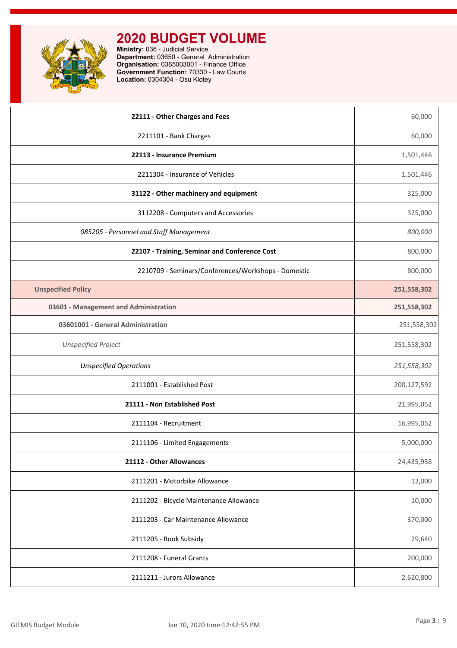

| 22111 - Other Charges and Fees                      | 60,000      |
|-----------------------------------------------------|-------------|
| 2211101 - Bank Charges                              | 60,000      |
| 22113 - Insurance Premium                           | 1,501,446   |
| 2211304 - Insurance of Vehicles                     | 1,501,446   |
| 31122 - Other machinery and equipment               | 325,000     |
| 3112208 - Computers and Accessories                 | 325,000     |
| 085205 - Personnel and Staff Management             | 800,000     |
| 22107 - Training, Seminar and Conference Cost       | 800,000     |
| 2210709 - Seminars/Conferences/Workshops - Domestic | 800,000     |
| <b>Unspecified Policy</b>                           | 251,558,302 |
| 03601 - Management and Administration               | 251,558,302 |
| 03601001 - General Administration                   | 251,558,302 |
| <b>Unspecified Project</b>                          | 251,558,302 |
| <b>Unspecified Operations</b>                       | 251,558,302 |
| 2111001 - Established Post                          | 200,127,592 |
| 21111 - Non Established Post                        | 21,995,052  |
| 2111104 - Recruitment                               | 16,995,052  |
| 2111106 - Limited Engagements                       | 5,000,000   |
| 21112 - Other Allowances                            | 24,435,958  |
| 2111201 - Motorbike Allowance                       | 12,000      |
| 2111202 - Bicycle Maintenance Allowance             | 10,000      |
| 2111203 - Car Maintenance Allowance                 | 370,000     |
| 2111205 - Book Subsidy                              | 29,640      |
| 2111208 - Funeral Grants                            | 200,000     |
| 2111211 - Jurors Allowance                          | 2,620,800   |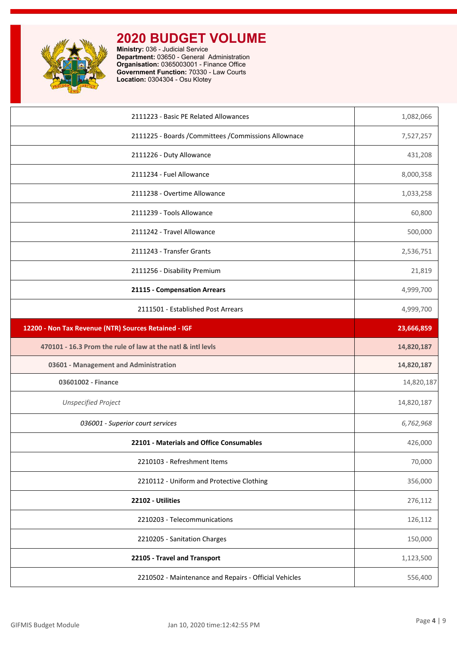

| 2111223 - Basic PE Related Allowances                       | 1,082,066  |
|-------------------------------------------------------------|------------|
| 2111225 - Boards / Committees / Commissions Allownace       | 7,527,257  |
| 2111226 - Duty Allowance                                    | 431,208    |
| 2111234 - Fuel Allowance                                    | 8,000,358  |
| 2111238 - Overtime Allowance                                | 1,033,258  |
| 2111239 - Tools Allowance                                   | 60,800     |
| 2111242 - Travel Allowance                                  | 500,000    |
| 2111243 - Transfer Grants                                   | 2,536,751  |
| 2111256 - Disability Premium                                | 21,819     |
| 21115 - Compensation Arrears                                | 4,999,700  |
| 2111501 - Established Post Arrears                          | 4,999,700  |
| 12200 - Non Tax Revenue (NTR) Sources Retained - IGF        | 23,666,859 |
| 470101 - 16.3 Prom the rule of law at the natl & intl levls | 14,820,187 |
| 03601 - Management and Administration                       | 14,820,187 |
| 03601002 - Finance                                          | 14,820,187 |
| <b>Unspecified Project</b>                                  | 14,820,187 |
| 036001 - Superior court services                            | 6,762,968  |
| 22101 - Materials and Office Consumables                    | 426,000    |
| 2210103 - Refreshment Items                                 | 70,000     |
| 2210112 - Uniform and Protective Clothing                   | 356,000    |
| 22102 - Utilities                                           | 276,112    |
| 2210203 - Telecommunications                                | 126,112    |
|                                                             | 150,000    |
| 2210205 - Sanitation Charges                                |            |
| 22105 - Travel and Transport                                | 1,123,500  |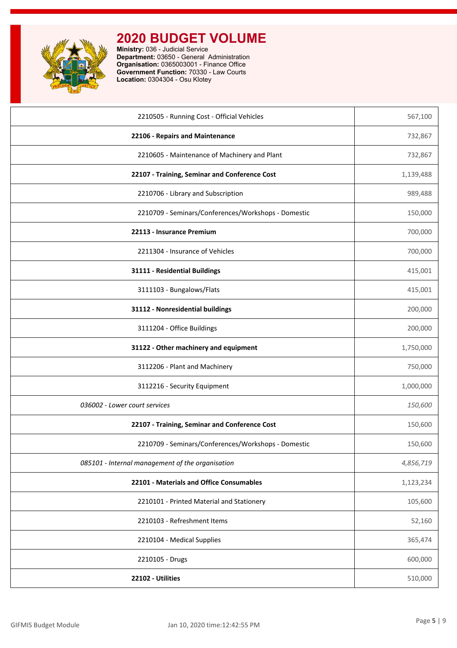

| 2210505 - Running Cost - Official Vehicles          | 567,100   |
|-----------------------------------------------------|-----------|
| 22106 - Repairs and Maintenance                     | 732,867   |
| 2210605 - Maintenance of Machinery and Plant        | 732,867   |
| 22107 - Training, Seminar and Conference Cost       | 1,139,488 |
| 2210706 - Library and Subscription                  | 989,488   |
| 2210709 - Seminars/Conferences/Workshops - Domestic | 150,000   |
| 22113 - Insurance Premium                           | 700,000   |
| 2211304 - Insurance of Vehicles                     | 700,000   |
| 31111 - Residential Buildings                       | 415,001   |
| 3111103 - Bungalows/Flats                           | 415,001   |
| 31112 - Nonresidential buildings                    | 200,000   |
| 3111204 - Office Buildings                          | 200,000   |
| 31122 - Other machinery and equipment               | 1,750,000 |
| 3112206 - Plant and Machinery                       | 750,000   |
| 3112216 - Security Equipment                        | 1,000,000 |
| 036002 - Lower court services                       | 150,600   |
| 22107 - Training, Seminar and Conference Cost       | 150,600   |
| 2210709 - Seminars/Conferences/Workshops - Domestic | 150,600   |
| 085101 - Internal management of the organisation    | 4,856,719 |
| 22101 - Materials and Office Consumables            | 1,123,234 |
| 2210101 - Printed Material and Stationery           | 105,600   |
| 2210103 - Refreshment Items                         | 52,160    |
| 2210104 - Medical Supplies                          | 365,474   |
|                                                     |           |
| 2210105 - Drugs                                     | 600,000   |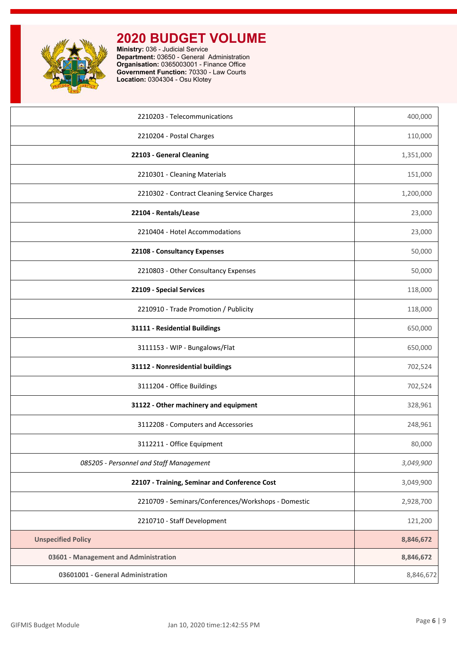

| 2210203 - Telecommunications                        | 400,000   |
|-----------------------------------------------------|-----------|
| 2210204 - Postal Charges                            | 110,000   |
| 22103 - General Cleaning                            | 1,351,000 |
| 2210301 - Cleaning Materials                        | 151,000   |
| 2210302 - Contract Cleaning Service Charges         | 1,200,000 |
| 22104 - Rentals/Lease                               | 23,000    |
| 2210404 - Hotel Accommodations                      | 23,000    |
| 22108 - Consultancy Expenses                        | 50,000    |
| 2210803 - Other Consultancy Expenses                | 50,000    |
| 22109 - Special Services                            | 118,000   |
| 2210910 - Trade Promotion / Publicity               | 118,000   |
| 31111 - Residential Buildings                       | 650,000   |
| 3111153 - WIP - Bungalows/Flat                      | 650,000   |
| 31112 - Nonresidential buildings                    | 702,524   |
| 3111204 - Office Buildings                          | 702,524   |
| 31122 - Other machinery and equipment               | 328,961   |
| 3112208 - Computers and Accessories                 | 248,961   |
| 3112211 - Office Equipment                          | 80,000    |
| 085205 - Personnel and Staff Management             | 3,049,900 |
| 22107 - Training, Seminar and Conference Cost       | 3,049,900 |
| 2210709 - Seminars/Conferences/Workshops - Domestic | 2,928,700 |
| 2210710 - Staff Development                         | 121,200   |
| <b>Unspecified Policy</b>                           | 8,846,672 |
| 03601 - Management and Administration               | 8,846,672 |
| 03601001 - General Administration                   | 8,846,672 |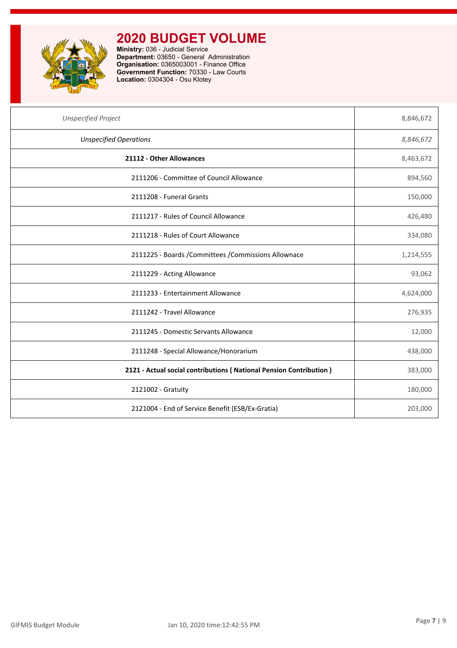

| <b>Unspecified Project</b>                                         | 8,846,672 |
|--------------------------------------------------------------------|-----------|
| <b>Unspecified Operations</b>                                      | 8,846,672 |
| 21112 - Other Allowances                                           | 8,463,672 |
| 2111206 - Committee of Council Allowance                           | 894,560   |
| 2111208 - Funeral Grants                                           | 150,000   |
| 2111217 - Rules of Council Allowance                               | 426,480   |
| 2111218 - Rules of Court Allowance                                 | 334,080   |
| 2111225 - Boards / Committees / Commissions Allownace              | 1,214,555 |
| 2111229 - Acting Allowance                                         | 93,062    |
| 2111233 - Entertainment Allowance                                  | 4,624,000 |
| 2111242 - Travel Allowance                                         | 276,935   |
| 2111245 - Domestic Servants Allowance                              | 12,000    |
| 2111248 - Special Allowance/Honorarium                             | 438,000   |
| 2121 - Actual social contributions (National Pension Contribution) | 383,000   |
| 2121002 - Gratuity                                                 | 180,000   |
| 2121004 - End of Service Benefit (ESB/Ex-Gratia)                   | 203,000   |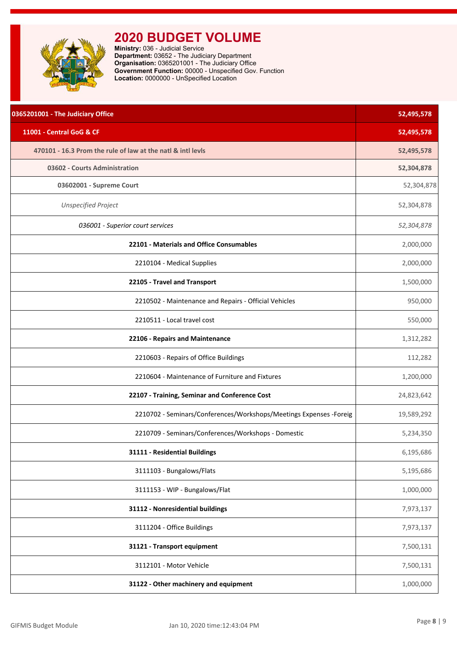<span id="page-8-0"></span>

**Ministry:** 036 - Judicial Service **Department:** 03652 - The Judiciary Department **Organisation:** 0365201001 - The Judiciary Office **Government Function:** 00000 - Unspecified Gov. Function **Location:** 0000000 - UnSpecified Location

| 0365201001 - The Judiciary Office                                   | 52,495,578 |
|---------------------------------------------------------------------|------------|
| 11001 - Central GoG & CF                                            | 52,495,578 |
| 470101 - 16.3 Prom the rule of law at the natl & intl levls         | 52,495,578 |
| 03602 - Courts Administration                                       | 52,304,878 |
| 03602001 - Supreme Court                                            | 52,304,878 |
| <b>Unspecified Project</b>                                          | 52,304,878 |
| 036001 - Superior court services                                    | 52,304,878 |
| 22101 - Materials and Office Consumables                            | 2,000,000  |
| 2210104 - Medical Supplies                                          | 2,000,000  |
| 22105 - Travel and Transport                                        | 1,500,000  |
| 2210502 - Maintenance and Repairs - Official Vehicles               | 950,000    |
| 2210511 - Local travel cost                                         | 550,000    |
| 22106 - Repairs and Maintenance                                     | 1,312,282  |
| 2210603 - Repairs of Office Buildings                               | 112,282    |
| 2210604 - Maintenance of Furniture and Fixtures                     | 1,200,000  |
| 22107 - Training, Seminar and Conference Cost                       | 24,823,642 |
| 2210702 - Seminars/Conferences/Workshops/Meetings Expenses - Foreig | 19,589,292 |
| 2210709 - Seminars/Conferences/Workshops - Domestic                 | 5,234,350  |
| 31111 - Residential Buildings                                       | 6,195,686  |
| 3111103 - Bungalows/Flats                                           | 5,195,686  |
| 3111153 - WIP - Bungalows/Flat                                      | 1,000,000  |
| 31112 - Nonresidential buildings                                    | 7,973,137  |
| 3111204 - Office Buildings                                          | 7,973,137  |
| 31121 - Transport equipment                                         | 7,500,131  |
| 3112101 - Motor Vehicle                                             | 7,500,131  |
| 31122 - Other machinery and equipment                               | 1,000,000  |